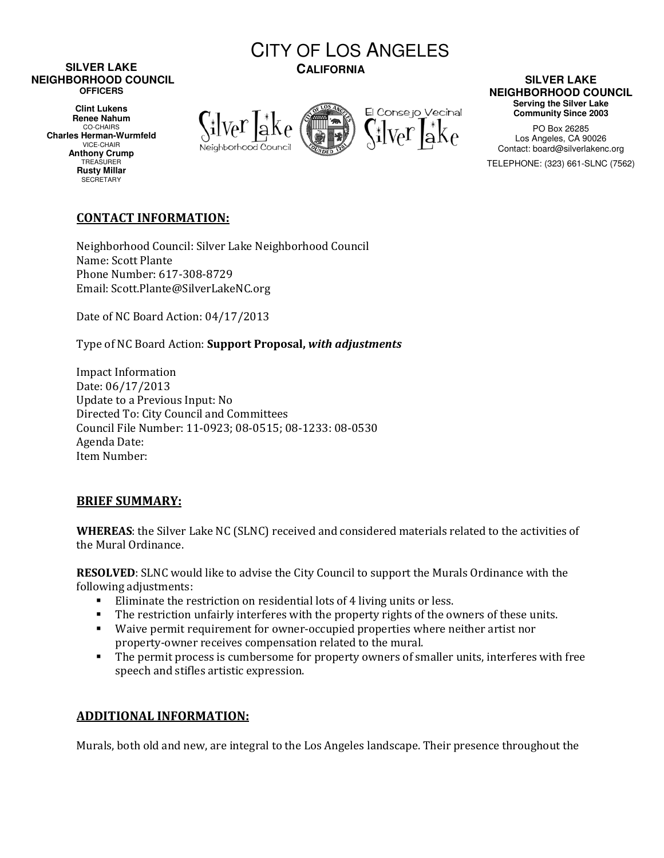#### **SILVER LAKE NEIGHBORHOOD COUNCIL OFFICERS**

**Clint Lukens Renee Nahum**  CO-CHAIRS **Charles Herman-Wurmfeld**  VICE-CHAIR **Anthony Crump**  TREASURER **Rusty Millar SECRETARY** 







### **SILVER LAKE NEIGHBORHOOD COUNCIL Serving the Silver Lake Community Since 2003**

PO Box 26285 Los Angeles, CA 90026 Contact: board@silverlakenc.org TELEPHONE: (323) 661-SLNC (7562)

# CONTACT INFORMATION:

Neighborhood Council: Silver Lake Neighborhood Council Name: Scott Plante Phone Number: 617-308-8729 Email: Scott.Plante@SilverLakeNC.org

Date of NC Board Action: 04/17/2013

Type of NC Board Action: Support Proposal, with adjustments

Impact Information Date: 06/17/2013 Update to a Previous Input: No Directed To: City Council and Committees Council File Number: 11-0923; 08-0515; 08-1233: 08-0530 Agenda Date: Item Number:

## BRIEF SUMMARY:

WHEREAS: the Silver Lake NC (SLNC) received and considered materials related to the activities of the Mural Ordinance.

RESOLVED: SLNC would like to advise the City Council to support the Murals Ordinance with the following adjustments:

- Eliminate the restriction on residential lots of 4 living units or less.
- The restriction unfairly interferes with the property rights of the owners of these units.
- Waive permit requirement for owner-occupied properties where neither artist nor property-owner receives compensation related to the mural.
- The permit process is cumbersome for property owners of smaller units, interferes with free speech and stifles artistic expression.

## ADDITIONAL INFORMATION:

Murals, both old and new, are integral to the Los Angeles landscape. Their presence throughout the